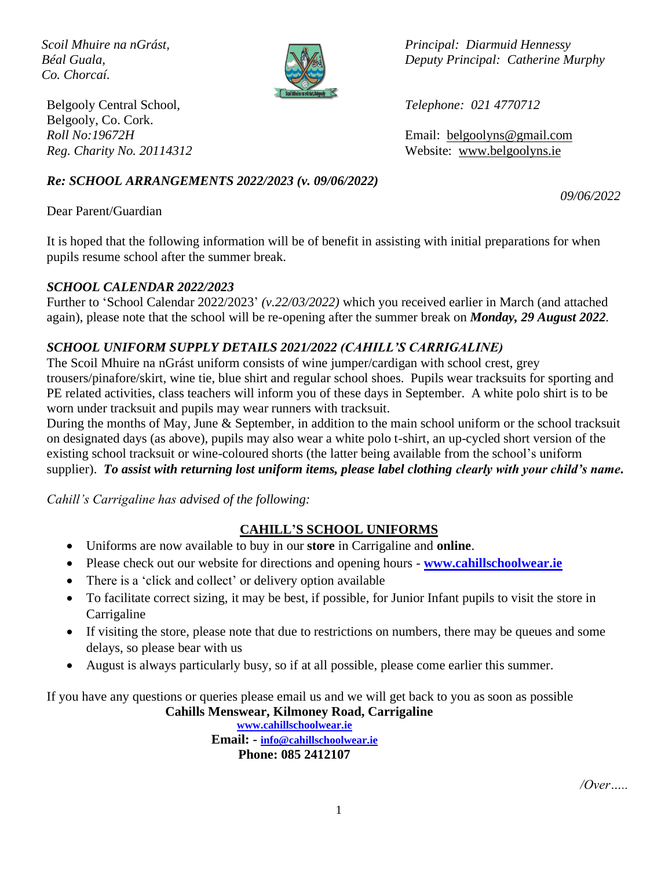*Co. Chorcaí.*



Belgooly Central School, *Telephone: 021 4770712* Belgooly, Co. Cork.

*Scoil Mhuire na nGrást, Principal: Diarmuid Hennessy Béal Guala, Deputy Principal: Catherine Murphy*

*Roll No:19672H* Email: [belgoolyns@gmail.com](mailto:belgoolyns@gmail.com) *Reg. Charity No. 20114312* Website: [www.belgoolyns.ie](http://www.belgoolyns.scoilnet.ie/)

### *Re: SCHOOL ARRANGEMENTS 2022/2023 (v. 09/06/2022)*

Dear Parent/Guardian

It is hoped that the following information will be of benefit in assisting with initial preparations for when pupils resume school after the summer break.

#### *SCHOOL CALENDAR 2022/2023*

Further to 'School Calendar 2022/2023' *(v.22/03/2022)* which you received earlier in March (and attached again), please note that the school will be re-opening after the summer break on *Monday, 29 August 2022.*

### *SCHOOL UNIFORM SUPPLY DETAILS 2021/2022 (CAHILL'S CARRIGALINE)*

The Scoil Mhuire na nGrást uniform consists of wine jumper/cardigan with school crest, grey trousers/pinafore/skirt, wine tie, blue shirt and regular school shoes. Pupils wear tracksuits for sporting and PE related activities, class teachers will inform you of these days in September. A white polo shirt is to be worn under tracksuit and pupils may wear runners with tracksuit.

During the months of May, June & September, in addition to the main school uniform or the school tracksuit on designated days (as above), pupils may also wear a white polo t-shirt, an up-cycled short version of the existing school tracksuit or wine-coloured shorts (the latter being available from the school's uniform supplier). *To assist with returning lost uniform items, please label clothing clearly with your child's name.*

*Cahill's Carrigaline has advised of the following:*

# **CAHILL'S SCHOOL UNIFORMS**

- Uniforms are now available to buy in our **store** in Carrigaline and **online**.
- Please check out our website for directions and opening hours **[www.cahillschoolwear.ie](http://www.cahillschoolwear.ie/)**
- There is a 'click and collect' or delivery option available
- To facilitate correct sizing, it may be best, if possible, for Junior Infant pupils to visit the store in Carrigaline
- If visiting the store, please note that due to restrictions on numbers, there may be queues and some delays, so please bear with us
- August is always particularly busy, so if at all possible, please come earlier this summer.

If you have any questions or queries please email us and we will get back to you as soon as possible **Cahills Menswear, Kilmoney Road, Carrigaline**

**[www.cahillschoolwear.ie](http://www.cahillschoolwear.ie/) Email: - [info@cahillschoolwear.ie](mailto:info@cahillschoolwear.ie) Phone: 085 2412107**

*/Over…..*

*09/06/2022*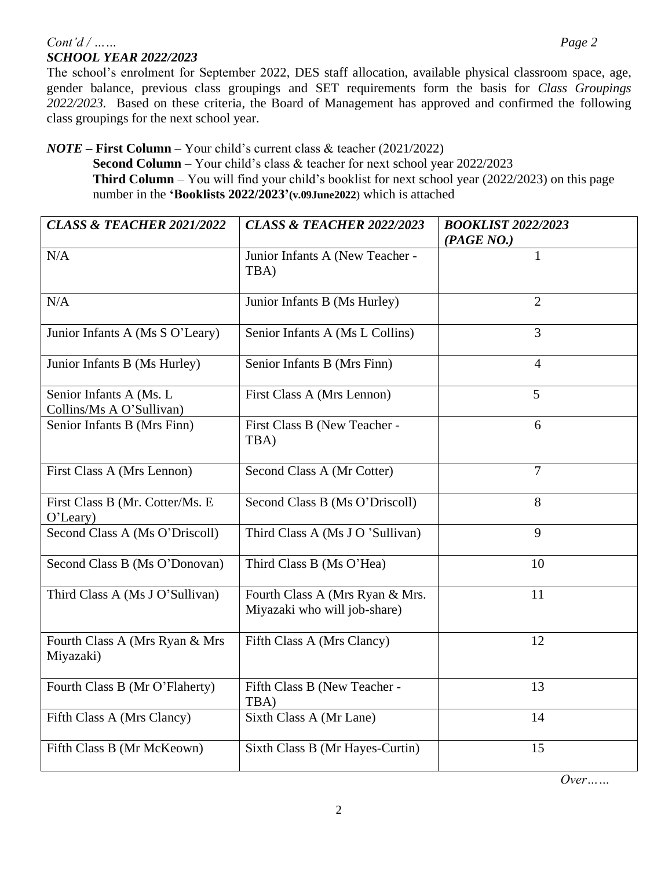#### *Cont'd / …… Page 2 SCHOOL YEAR 2022/2023*

The school's enrolment for September 2022, DES staff allocation, available physical classroom space, age, gender balance, previous class groupings and SET requirements form the basis for *Class Groupings 2022/2023.* Based on these criteria, the Board of Management has approved and confirmed the following class groupings for the next school year.

*NOTE* **– First Column** – Your child's current class & teacher (2021/2022) **Second Column** – Your child's class & teacher for next school year 2022/2023 **Third Column** – You will find your child's booklist for next school year (2022/2023) on this page number in the **'Booklists 2022/2023'(v.09June2022**) which is attached

| <b>CLASS &amp; TEACHER 2021/2022</b>                | <b>CLASS &amp; TEACHER 2022/2023</b>                            | <b>BOOKLIST 2022/2023</b><br>(PAGE NO.) |
|-----------------------------------------------------|-----------------------------------------------------------------|-----------------------------------------|
| N/A                                                 | Junior Infants A (New Teacher -<br>TBA)                         |                                         |
| N/A                                                 | Junior Infants B (Ms Hurley)                                    | $\overline{2}$                          |
| Junior Infants A (Ms S O'Leary)                     | Senior Infants A (Ms L Collins)                                 | $\overline{3}$                          |
| Junior Infants B (Ms Hurley)                        | Senior Infants B (Mrs Finn)                                     | $\overline{4}$                          |
| Senior Infants A (Ms. L<br>Collins/Ms A O'Sullivan) | First Class A (Mrs Lennon)                                      | 5                                       |
| Senior Infants B (Mrs Finn)                         | First Class B (New Teacher -<br>TBA)                            | 6                                       |
| First Class A (Mrs Lennon)                          | Second Class A (Mr Cotter)                                      | $\overline{7}$                          |
| First Class B (Mr. Cotter/Ms. E<br>$O'$ Leary $)$   | Second Class B (Ms O'Driscoll)                                  | 8                                       |
| Second Class A (Ms O'Driscoll)                      | Third Class A (Ms J O 'Sullivan)                                | 9                                       |
| Second Class B (Ms O'Donovan)                       | Third Class B (Ms O'Hea)                                        | 10                                      |
| Third Class A (Ms J O'Sullivan)                     | Fourth Class A (Mrs Ryan & Mrs.<br>Miyazaki who will job-share) | 11                                      |
| Fourth Class A (Mrs Ryan & Mrs)<br>Miyazaki)        | Fifth Class A (Mrs Clancy)                                      | 12                                      |
| Fourth Class B (Mr O'Flaherty)                      | Fifth Class B (New Teacher -<br>TBA)                            | 13                                      |
| Fifth Class A (Mrs Clancy)                          | Sixth Class A (Mr Lane)                                         | 14                                      |
| Fifth Class B (Mr McKeown)                          | Sixth Class B (Mr Hayes-Curtin)                                 | 15                                      |

*Over……*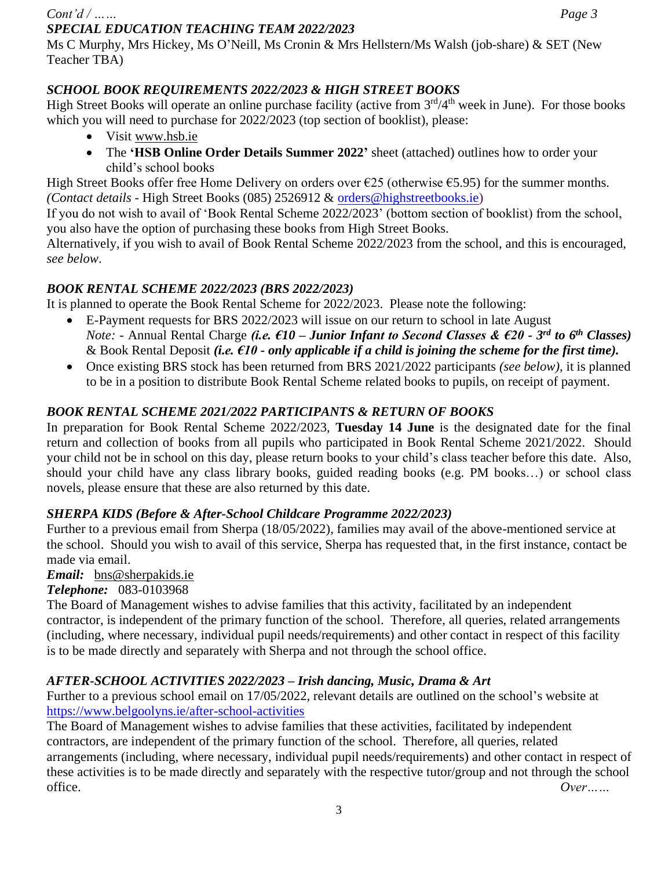#### *Cont'd / …… Page 3 SPECIAL EDUCATION TEACHING TEAM 2022/2023*

Ms C Murphy, Mrs Hickey, Ms O'Neill, Ms Cronin & Mrs Hellstern/Ms Walsh (job-share) & SET (New Teacher TBA)

# *SCHOOL BOOK REQUIREMENTS 2022/2023 & HIGH STREET BOOKS*

High Street Books will operate an online purchase facility (active from  $3<sup>rd</sup>/4<sup>th</sup>$  week in June). For those books which you will need to purchase for 2022/2023 (top section of booklist), please:

- Visit [www.hsb.ie](http://www.hsb.ie/)
- The **'HSB Online Order Details Summer 2022'** sheet (attached) outlines how to order your child's school books

High Street Books offer free Home Delivery on orders over  $\epsilon$ 25 (otherwise  $\epsilon$ 5.95) for the summer months. *(Contact details* - High Street Books (085) 2526912 & [orders@highstreetbooks.ie\)](mailto:orders@highstreetbooks.ie)

If you do not wish to avail of 'Book Rental Scheme 2022/2023' (bottom section of booklist) from the school, you also have the option of purchasing these books from High Street Books.

Alternatively, if you wish to avail of Book Rental Scheme 2022/2023 from the school, and this is encouraged, *see below*.

# *BOOK RENTAL SCHEME 2022/2023 (BRS 2022/2023)*

It is planned to operate the Book Rental Scheme for 2022/2023. Please note the following:

- E-Payment requests for BRS 2022/2023 will issue on our return to school in late August *Note:* - Annual Rental Charge *(i.e. €10 – Junior Infant to Second Classes & €20 - 3 rd to 6 th Classes)* & Book Rental Deposit *(i.e. €10 - only applicable if a child is joining the scheme for the first time).*
- Once existing BRS stock has been returned from BRS 2021/2022 participants *(see below),* it is planned to be in a position to distribute Book Rental Scheme related books to pupils, on receipt of payment.

# *BOOK RENTAL SCHEME 2021/2022 PARTICIPANTS & RETURN OF BOOKS*

In preparation for Book Rental Scheme 2022/2023, **Tuesday 14 June** is the designated date for the final return and collection of books from all pupils who participated in Book Rental Scheme 2021/2022. Should your child not be in school on this day, please return books to your child's class teacher before this date. Also, should your child have any class library books, guided reading books (e.g. PM books…) or school class novels, please ensure that these are also returned by this date.

# *SHERPA KIDS (Before & After-School Childcare Programme 2022/2023)*

Further to a previous email from Sherpa (18/05/2022), families may avail of the above-mentioned service at the school. Should you wish to avail of this service, Sherpa has requested that, in the first instance, contact be made via email.

*Email:* [bns@sherpakids.ie](mailto:bns@sherpakids.ie) 

*Telephone:* 083-0103968

The Board of Management wishes to advise families that this activity, facilitated by an independent contractor, is independent of the primary function of the school. Therefore, all queries, related arrangements (including, where necessary, individual pupil needs/requirements) and other contact in respect of this facility is to be made directly and separately with Sherpa and not through the school office.

# *AFTER-SCHOOL ACTIVITIES 2022/2023 – Irish dancing, Music, Drama & Art*

Further to a previous school email on 17/05/2022, relevant details are outlined on the school's website at <https://www.belgoolyns.ie/after-school-activities>

The Board of Management wishes to advise families that these activities, facilitated by independent contractors, are independent of the primary function of the school. Therefore, all queries, related arrangements (including, where necessary, individual pupil needs/requirements) and other contact in respect of these activities is to be made directly and separately with the respective tutor/group and not through the school office. *Over……*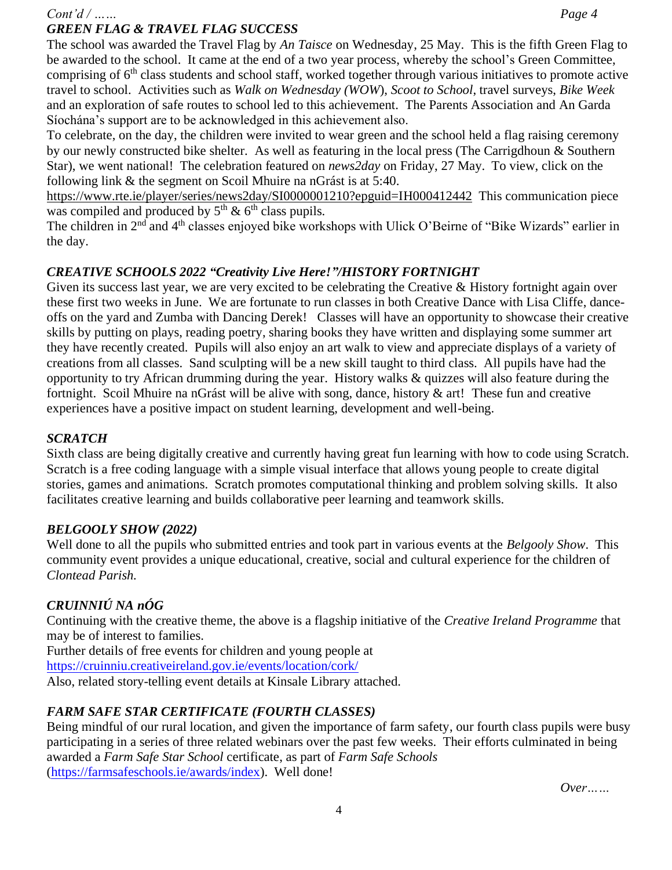### *Cont'd / …… Page 4*

# *GREEN FLAG & TRAVEL FLAG SUCCESS*

The school was awarded the Travel Flag by *An Taisce* on Wednesday, 25 May. This is the fifth Green Flag to be awarded to the school. It came at the end of a two year process, whereby the school's Green Committee, comprising of 6<sup>th</sup> class students and school staff, worked together through various initiatives to promote active travel to school. Activities such as *Walk on Wednesday (WOW*), *Scoot to School*, travel surveys, *Bike Week* and an exploration of safe routes to school led to this achievement. The Parents Association and An Garda Síochána's support are to be acknowledged in this achievement also.

To celebrate, on the day, the children were invited to wear green and the school held a flag raising ceremony by our newly constructed bike shelter. As well as featuring in the local press (The Carrigdhoun & Southern Star), we went national! The celebration featured on *news2day* on Friday, 27 May. To view, click on the following link & the segment on Scoil Mhuire na nGrást is at 5:40.

<https://www.rte.ie/player/series/news2day/SI0000001210?epguid=IH000412442>This communication piece was compiled and produced by  $5<sup>th</sup>$  &  $6<sup>th</sup>$  class pupils.

The children in 2<sup>nd</sup> and 4<sup>th</sup> classes enjoyed bike workshops with Ulick O'Beirne of "Bike Wizards" earlier in the day.

# *CREATIVE SCHOOLS 2022 "Creativity Live Here!"/HISTORY FORTNIGHT*

Given its success last year, we are very excited to be celebrating the Creative & History fortnight again over these first two weeks in June. We are fortunate to run classes in both Creative Dance with Lisa Cliffe, danceoffs on the yard and Zumba with Dancing Derek! Classes will have an opportunity to showcase their creative skills by putting on plays, reading poetry, sharing books they have written and displaying some summer art they have recently created. Pupils will also enjoy an art walk to view and appreciate displays of a variety of creations from all classes. Sand sculpting will be a new skill taught to third class. All pupils have had the opportunity to try African drumming during the year. History walks & quizzes will also feature during the fortnight. Scoil Mhuire na nGrást will be alive with song, dance, history & art! These fun and creative experiences have a positive impact on student learning, development and well-being.

### *SCRATCH*

Sixth class are being digitally creative and currently having great fun learning with how to code using Scratch. Scratch is a free coding language with a simple visual interface that allows young people to create digital stories, games and animations. Scratch promotes computational thinking and problem solving skills. It also facilitates creative learning and builds collaborative peer learning and teamwork skills.

### *BELGOOLY SHOW (2022)*

Well done to all the pupils who submitted entries and took part in various events at the *Belgooly Show*. This community event provides a unique educational, creative, social and cultural experience for the children of *Clontead Parish.*

# *CRUINNIÚ NA nÓG*

Continuing with the creative theme, the above is a flagship initiative of the *Creative Ireland Programme* that may be of interest to families.

Further details of free events for children and young people at <https://cruinniu.creativeireland.gov.ie/events/location/cork/> Also, related story-telling event details at Kinsale Library attached.

# *FARM SAFE STAR CERTIFICATE (FOURTH CLASSES)*

Being mindful of our rural location, and given the importance of farm safety, our fourth class pupils were busy participating in a series of three related webinars over the past few weeks. Their efforts culminated in being awarded a *Farm Safe Star School* certificate, as part of *Farm Safe Schools* [\(https://farmsafeschools.ie/awards/index\)](https://farmsafeschools.ie/awards/index). Well done!

*Over……*